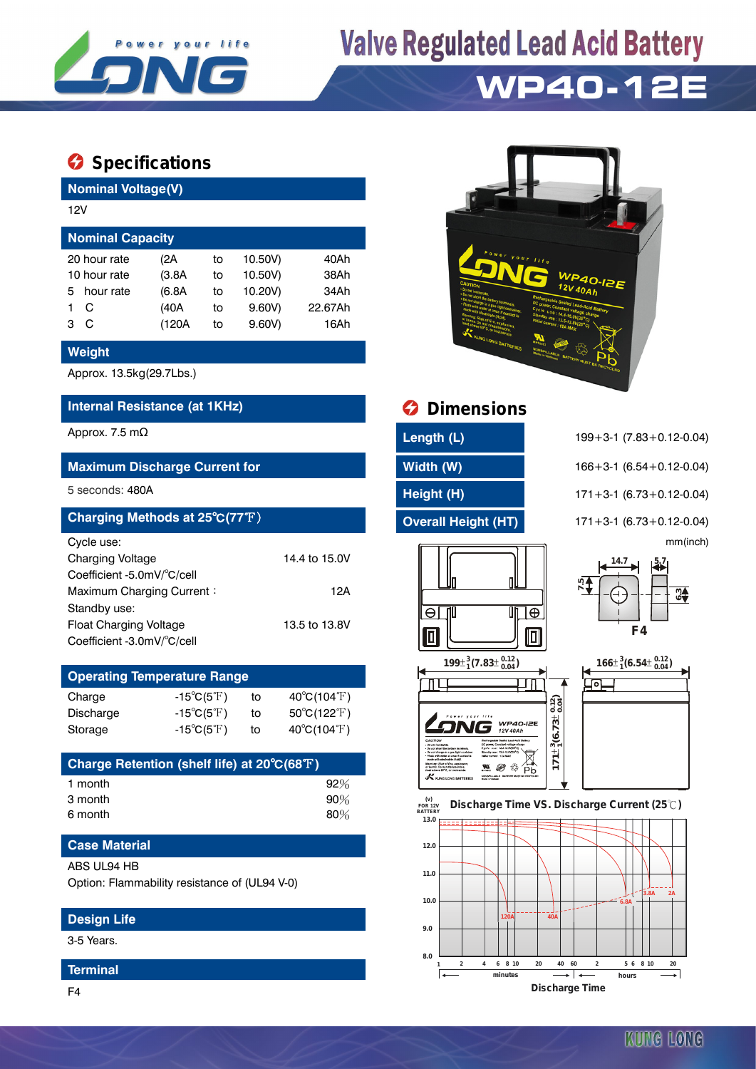

# **Valve Regulated Lead Acid Battery**

### **WP40-12E**

### **Specifications**

**Nominal Voltage(V)**

| 12V                     |              |        |    |         |         |  |  |  |  |
|-------------------------|--------------|--------|----|---------|---------|--|--|--|--|
| <b>Nominal Capacity</b> |              |        |    |         |         |  |  |  |  |
|                         | 20 hour rate | (2A    | to | 10.50V) | 40Ah    |  |  |  |  |
| 10 hour rate            |              | (3.8A) | to | 10.50V) | 38Ah    |  |  |  |  |
| 5.                      | hour rate    | (6.8A) | to | 10.20V) | 34Ah    |  |  |  |  |
|                         | C            | (40A   | to | 9.60V   | 22.67Ah |  |  |  |  |
| 3                       | C            | (120A  | to | 9.60V   | 16Ah    |  |  |  |  |
|                         |              |        |    |         |         |  |  |  |  |

#### **Weight**

Approx. 13.5kg(29.7Lbs.)

#### **Internal Resistance (at 1KHz) Dimensions**

Approx. 7.5 mΩ **Length (L)** 199+3-1 (7.83+0.12-0.04)

#### **Maximum Discharge Current for Width (W)** 166+3-1 (6.54+0.12-0.04)

| Charging Methods at 25°C(77°F) |               |
|--------------------------------|---------------|
| Cycle use:                     |               |
| <b>Charging Voltage</b>        | 14.4 to 15.0V |
| Coefficient -5.0mV/°C/cell     |               |
| Maximum Charging Current:      | 12A           |
| Standby use:                   |               |
| Float Charging Voltage         | 13.5 to 13.8V |
| Coefficient -3.0mV/°C/cell     |               |

| <b>Operating Temperature Range</b> |                            |    |                                  |  |  |  |  |
|------------------------------------|----------------------------|----|----------------------------------|--|--|--|--|
| Charge                             | $-15^{\circ}C(5^{\circ}F)$ | to | $40^{\circ}$ C(104 $^{\circ}$ F) |  |  |  |  |
| Discharge                          | $-15^{\circ}C(5^{\circ}F)$ | to | $50^{\circ}C(122^{\circ}F)$      |  |  |  |  |
| Storage                            | $-15^{\circ}C(5^{\circ}F)$ | tο | 40°C(104°F)                      |  |  |  |  |

| Charge Retention (shelf life) at 20°C(68°F) |        |
|---------------------------------------------|--------|
| 1 month                                     | 92%    |
| 3 month                                     | $90\%$ |
| 6 month                                     | 80%    |

#### **Case Material**

#### ABS UL94 HB

Option: Flammability resistance of (UL94 V-0)

#### **Design Life**

3-5 Years.

#### **Terminal**



| 5 seconds: 480A                |               | Height (H)                 | $171 + 3 - 1$ (6.73 + 0.12 - 0.04) |
|--------------------------------|---------------|----------------------------|------------------------------------|
| Charging Methods at 25°C(77°F) |               | <b>Overall Height (HT)</b> | $171 + 3 - 1$ (6.73 + 0.12 - 0.04) |
| Cycle use:                     |               |                            | mm(inch)                           |
| <b>Charging Voltage</b>        | 14.4 to 15.0V |                            | 14.7<br>$\mathsf{R}$               |
| Coefficient -5.0mV/°C/cell     |               |                            |                                    |
| Maximum Charging Current:      | 12A           | ₪                          | $\frac{5}{1}$<br>ന4                |
| Standby use:                   |               | UN I⊕<br>⊖                 |                                    |
| <b>Float Charging Voltage</b>  | 13.5 to 13.8V |                            | F4                                 |
| Coefficient -3.0mV/°C/cell     |               | 回<br>◫                     |                                    |
|                                |               |                            |                                    |

mm(inch)











KUNG LONG